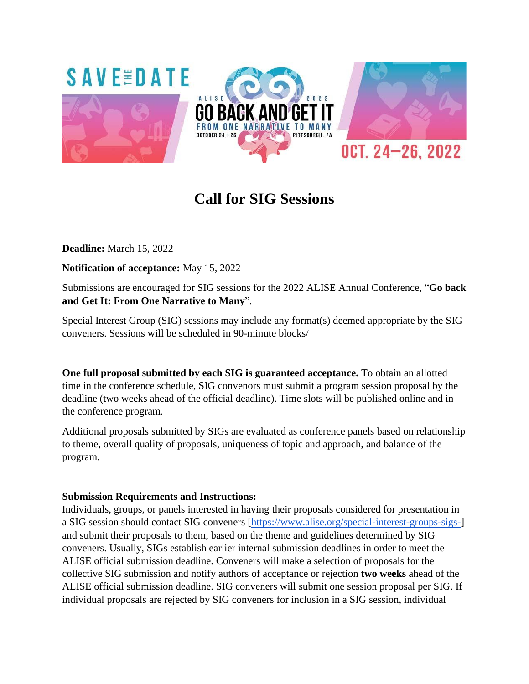

# **Call for SIG Sessions**

**Deadline:** March 15, 2022

**Notification of acceptance:** May 15, 2022

Submissions are encouraged for SIG sessions for the 2022 ALISE Annual Conference, "**Go back and Get It: From One Narrative to Many**".

Special Interest Group (SIG) sessions may include any format(s) deemed appropriate by the SIG conveners. Sessions will be scheduled in 90-minute blocks/

**One full proposal submitted by each SIG is guaranteed acceptance.** To obtain an allotted time in the conference schedule, SIG convenors must submit a program session proposal by the deadline (two weeks ahead of the official deadline). Time slots will be published online and in the conference program.

Additional proposals submitted by SIGs are evaluated as conference panels based on relationship to theme, overall quality of proposals, uniqueness of topic and approach, and balance of the program.

## **Submission Requirements and Instructions:**

Individuals, groups, or panels interested in having their proposals considered for presentation in a SIG session should contact SIG conveners [\[https://www.alise.org/special-interest-groups-sigs-\]](https://www.alise.org/special-interest-groups-sigs-) and submit their proposals to them, based on the theme and guidelines determined by SIG conveners. Usually, SIGs establish earlier internal submission deadlines in order to meet the ALISE official submission deadline. Conveners will make a selection of proposals for the collective SIG submission and notify authors of acceptance or rejection **two weeks** ahead of the ALISE official submission deadline. SIG conveners will submit one session proposal per SIG. If individual proposals are rejected by SIG conveners for inclusion in a SIG session, individual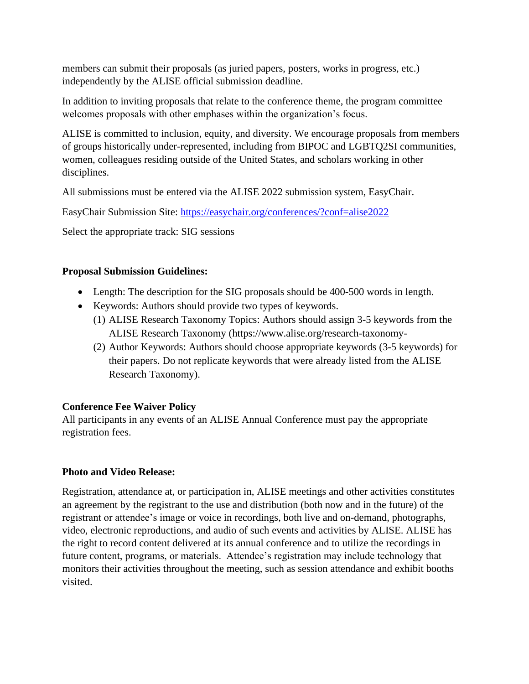members can submit their proposals (as juried papers, posters, works in progress, etc.) independently by the ALISE official submission deadline.

In addition to inviting proposals that relate to the conference theme, the program committee welcomes proposals with other emphases within the organization's focus.

ALISE is committed to inclusion, equity, and diversity. We encourage proposals from members of groups historically under-represented, including from BIPOC and LGBTQ2SI communities, women, colleagues residing outside of the United States, and scholars working in other disciplines.

All submissions must be entered via the ALISE 2022 submission system, EasyChair.

EasyChair Submission Site:<https://easychair.org/conferences/?conf=alise2022>

Select the appropriate track: SIG sessions

# **Proposal Submission Guidelines:**

- Length: The description for the SIG proposals should be 400-500 words in length.
- Keywords: Authors should provide two types of keywords.
	- (1) ALISE Research Taxonomy Topics: Authors should assign 3-5 keywords from the ALISE Research Taxonomy (https://www.alise.org/research-taxonomy-
	- (2) Author Keywords: Authors should choose appropriate keywords (3-5 keywords) for their papers. Do not replicate keywords that were already listed from the ALISE Research Taxonomy).

# **Conference Fee Waiver Policy**

All participants in any events of an ALISE Annual Conference must pay the appropriate registration fees.

## **Photo and Video Release:**

Registration, attendance at, or participation in, ALISE meetings and other activities constitutes an agreement by the registrant to the use and distribution (both now and in the future) of the registrant or attendee's image or voice in recordings, both live and on-demand, photographs, video, electronic reproductions, and audio of such events and activities by ALISE. ALISE has the right to record content delivered at its annual conference and to utilize the recordings in future content, programs, or materials. Attendee's registration may include technology that monitors their activities throughout the meeting, such as session attendance and exhibit booths visited.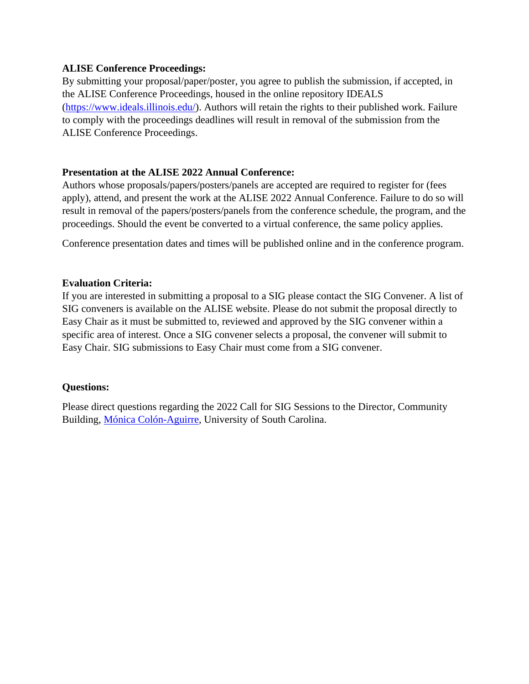#### **ALISE Conference Proceedings:**

By submitting your proposal/paper/poster, you agree to publish the submission, if accepted, in the ALISE Conference Proceedings, housed in the online repository IDEALS [\(https://www.ideals.illinois.edu/\)](https://www.ideals.illinois.edu/). Authors will retain the rights to their published work. Failure to comply with the proceedings deadlines will result in removal of the submission from the ALISE Conference Proceedings.

#### **Presentation at the ALISE 2022 Annual Conference:**

Authors whose proposals/papers/posters/panels are accepted are required to register for (fees apply), attend, and present the work at the ALISE 2022 Annual Conference. Failure to do so will result in removal of the papers/posters/panels from the conference schedule, the program, and the proceedings. Should the event be converted to a virtual conference, the same policy applies.

Conference presentation dates and times will be published online and in the conference program.

#### **Evaluation Criteria:**

If you are interested in submitting a proposal to a SIG please contact the SIG Convener. A list of SIG conveners is available on the ALISE website. Please do not submit the proposal directly to Easy Chair as it must be submitted to, reviewed and approved by the SIG convener within a specific area of interest. Once a SIG convener selects a proposal, the convener will submit to Easy Chair. SIG submissions to Easy Chair must come from a SIG convener.

## **Questions:**

Please direct questions regarding the 2022 Call for SIG Sessions to the Director, Community Building, [Mónica Colón-Aguirre,](mailto:COLONAGM@mailbox.sc.edu) University of South Carolina.